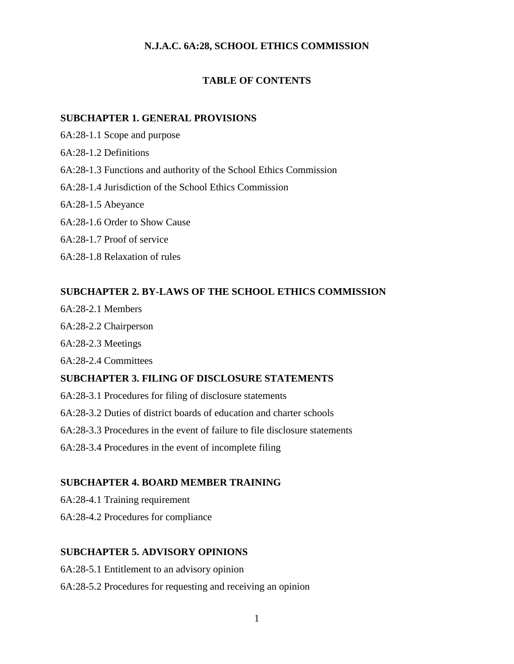# **N.J.A.C. 6A:28, SCHOOL ETHICS COMMISSION**

# **TABLE OF CONTENTS**

#### **SUBCHAPTER 1. GENERAL PROVISIONS**

6A:28-1.1 Scope and purpose 6A:28-1.2 Definitions 6A:28-1.3 Functions and authority of the School Ethics Commission 6A:28-1.4 Jurisdiction of the School Ethics Commission 6A:28-1.5 Abeyance 6A:28-1.6 Order to Show Cause 6A:28-1.7 Proof of service

6A:28-1.8 Relaxation of rules

# **SUBCHAPTER 2. BY-LAWS OF THE SCHOOL ETHICS COMMISSION**

- 6A:28-2.1 Members
- 6A:28-2.2 Chairperson
- 6A:28-2.3 Meetings
- 6A:28-2.4 Committees

# **SUBCHAPTER 3. FILING OF DISCLOSURE STATEMENTS**

- 6A:28-3.1 Procedures for filing of disclosure statements
- 6A:28-3.2 Duties of district boards of education and charter schools
- 6A:28-3.3 Procedures in the event of failure to file disclosure statements
- 6A:28-3.4 Procedures in the event of incomplete filing

# **SUBCHAPTER 4. BOARD MEMBER TRAINING**

- 6A:28-4.1 Training requirement
- 6A:28-4.2 Procedures for compliance

# **SUBCHAPTER 5. ADVISORY OPINIONS**

- 6A:28-5.1 Entitlement to an advisory opinion
- 6A:28-5.2 Procedures for requesting and receiving an opinion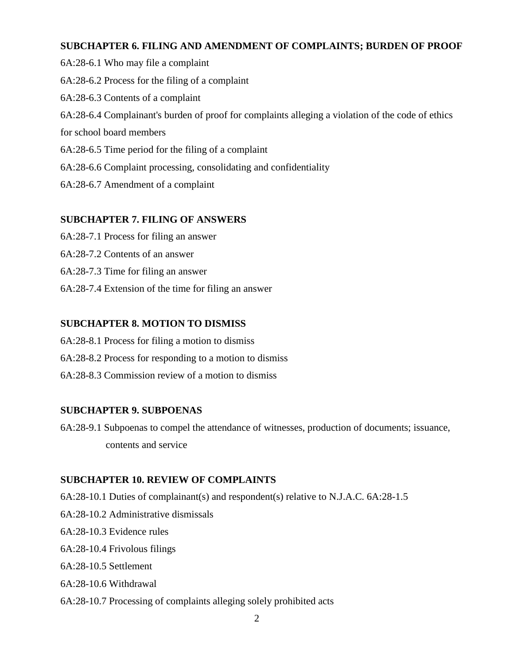# **SUBCHAPTER 6. FILING AND AMENDMENT OF COMPLAINTS; BURDEN OF PROOF**

6A:28-6.1 Who may file a complaint 6A:28-6.2 Process for the filing of a complaint 6A:28-6.3 Contents of a complaint 6A:28-6.4 Complainant's burden of proof for complaints alleging a violation of the code of ethics for school board members 6A:28-6.5 Time period for the filing of a complaint 6A:28-6.6 Complaint processing, consolidating and confidentiality 6A:28-6.7 Amendment of a complaint

# **SUBCHAPTER 7. FILING OF ANSWERS**

- 6A:28-7.1 Process for filing an answer
- 6A:28-7.2 Contents of an answer
- 6A:28-7.3 Time for filing an answer
- 6A:28-7.4 Extension of the time for filing an answer

# **SUBCHAPTER 8. MOTION TO DISMISS**

6A:28-8.1 Process for filing a motion to dismiss 6A:28-8.2 Process for responding to a motion to dismiss 6A:28-8.3 Commission review of a motion to dismiss

# **SUBCHAPTER 9. SUBPOENAS**

6A:28-9.1 Subpoenas to compel the attendance of witnesses, production of documents; issuance, contents and service

# **SUBCHAPTER 10. REVIEW OF COMPLAINTS**

6A:28-10.1 Duties of complainant(s) and respondent(s) relative to N.J.A.C. 6A:28-1.5 6A:28-10.2 Administrative dismissals 6A:28-10.3 Evidence rules 6A:28-10.4 Frivolous filings 6A:28-10.5 Settlement 6A:28-10.6 Withdrawal 6A:28-10.7 Processing of complaints alleging solely prohibited acts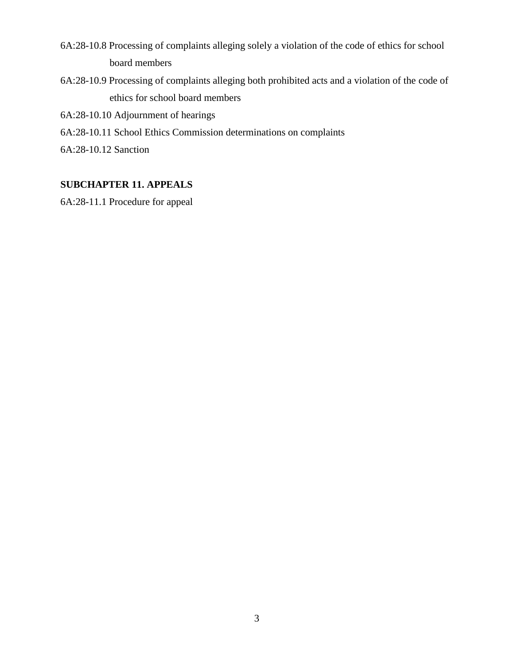- 6A:28-10.8 Processing of complaints alleging solely a violation of the code of ethics for school board members
- 6A:28-10.9 Processing of complaints alleging both prohibited acts and a violation of the code of ethics for school board members
- 6A:28-10.10 Adjournment of hearings
- 6A:28-10.11 School Ethics Commission determinations on complaints
- 6A:28-10.12 Sanction

# **SUBCHAPTER 11. APPEALS**

6A:28-11.1 Procedure for appeal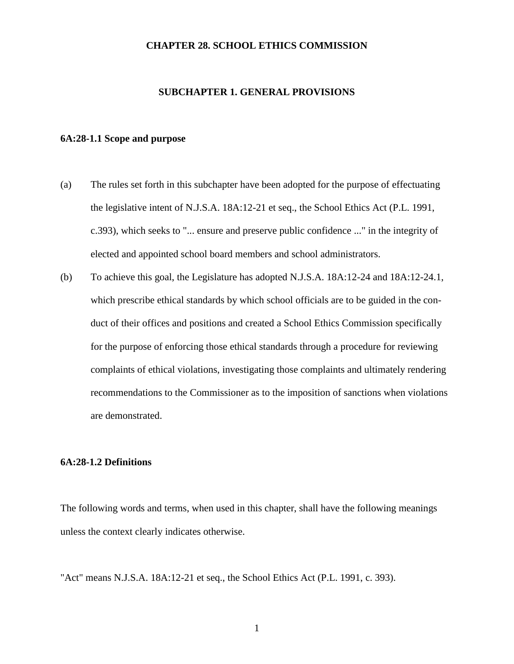#### **CHAPTER 28. SCHOOL ETHICS COMMISSION**

## **SUBCHAPTER 1. GENERAL PROVISIONS**

# **6A:28-1.1 Scope and purpose**

- (a) The rules set forth in this subchapter have been adopted for the purpose of effectuating the legislative intent of N.J.S.A. 18A:12-21 et seq., the School Ethics Act (P.L. 1991, c.393), which seeks to "... ensure and preserve public confidence ..." in the integrity of elected and appointed school board members and school administrators.
- (b) To achieve this goal, the Legislature has adopted N.J.S.A. 18A:12-24 and 18A:12-24.1, which prescribe ethical standards by which school officials are to be guided in the conduct of their offices and positions and created a School Ethics Commission specifically for the purpose of enforcing those ethical standards through a procedure for reviewing complaints of ethical violations, investigating those complaints and ultimately rendering recommendations to the Commissioner as to the imposition of sanctions when violations are demonstrated.

# **6A:28-1.2 Definitions**

The following words and terms, when used in this chapter, shall have the following meanings unless the context clearly indicates otherwise.

"Act" means N.J.S.A. 18A:12-21 et seq., the School Ethics Act (P.L. 1991, c. 393).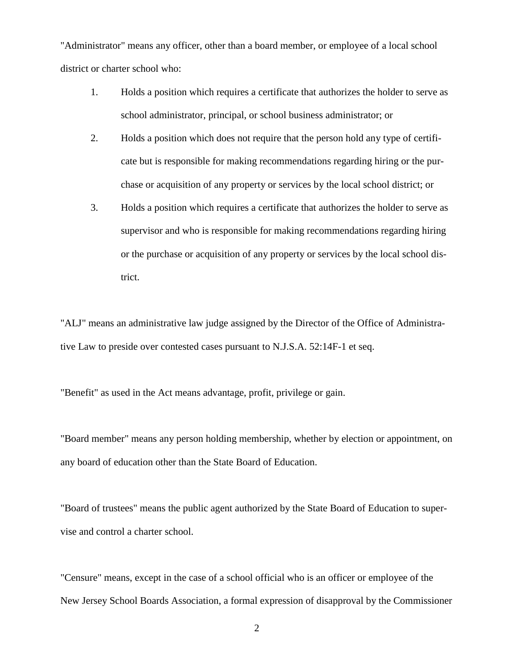"Administrator" means any officer, other than a board member, or employee of a local school district or charter school who:

- 1. Holds a position which requires a certificate that authorizes the holder to serve as school administrator, principal, or school business administrator; or
- 2. Holds a position which does not require that the person hold any type of certificate but is responsible for making recommendations regarding hiring or the purchase or acquisition of any property or services by the local school district; or
- 3. Holds a position which requires a certificate that authorizes the holder to serve as supervisor and who is responsible for making recommendations regarding hiring or the purchase or acquisition of any property or services by the local school district.

"ALJ" means an administrative law judge assigned by the Director of the Office of Administrative Law to preside over contested cases pursuant to N.J.S.A. 52:14F-1 et seq.

"Benefit" as used in the Act means advantage, profit, privilege or gain.

"Board member" means any person holding membership, whether by election or appointment, on any board of education other than the State Board of Education.

"Board of trustees" means the public agent authorized by the State Board of Education to supervise and control a charter school.

"Censure" means, except in the case of a school official who is an officer or employee of the New Jersey School Boards Association, a formal expression of disapproval by the Commissioner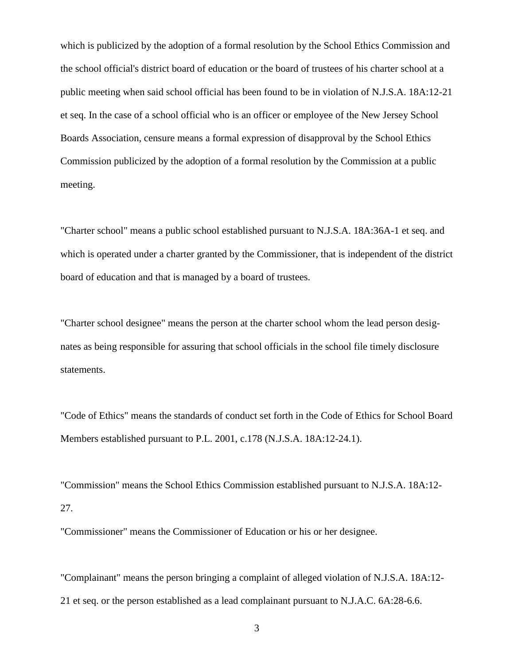which is publicized by the adoption of a formal resolution by the School Ethics Commission and the school official's district board of education or the board of trustees of his charter school at a public meeting when said school official has been found to be in violation of N.J.S.A. 18A:12-21 et seq. In the case of a school official who is an officer or employee of the New Jersey School Boards Association, censure means a formal expression of disapproval by the School Ethics Commission publicized by the adoption of a formal resolution by the Commission at a public meeting.

"Charter school" means a public school established pursuant to N.J.S.A. 18A:36A-1 et seq. and which is operated under a charter granted by the Commissioner, that is independent of the district board of education and that is managed by a board of trustees.

"Charter school designee" means the person at the charter school whom the lead person designates as being responsible for assuring that school officials in the school file timely disclosure statements.

"Code of Ethics" means the standards of conduct set forth in the Code of Ethics for School Board Members established pursuant to P.L. 2001, c.178 (N.J.S.A. 18A:12-24.1).

"Commission" means the School Ethics Commission established pursuant to N.J.S.A. 18A:12- 27.

"Commissioner" means the Commissioner of Education or his or her designee.

"Complainant" means the person bringing a complaint of alleged violation of N.J.S.A. 18A:12- 21 et seq. or the person established as a lead complainant pursuant to N.J.A.C. 6A:28-6.6.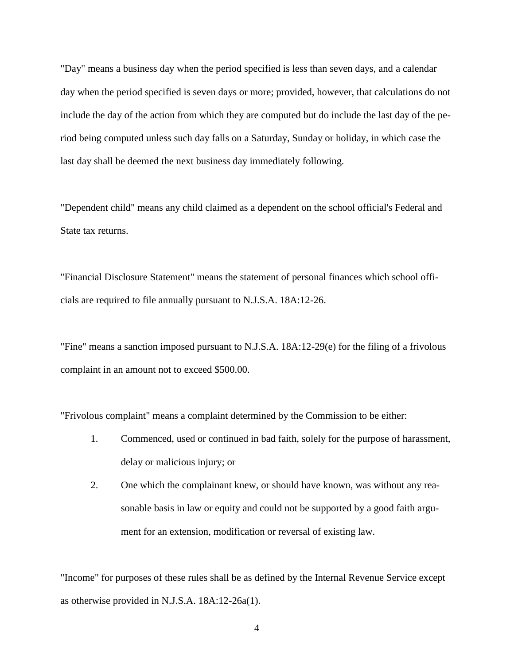"Day" means a business day when the period specified is less than seven days, and a calendar day when the period specified is seven days or more; provided, however, that calculations do not include the day of the action from which they are computed but do include the last day of the period being computed unless such day falls on a Saturday, Sunday or holiday, in which case the last day shall be deemed the next business day immediately following.

"Dependent child" means any child claimed as a dependent on the school official's Federal and State tax returns.

"Financial Disclosure Statement" means the statement of personal finances which school officials are required to file annually pursuant to N.J.S.A. 18A:12-26.

"Fine" means a sanction imposed pursuant to N.J.S.A. 18A:12-29(e) for the filing of a frivolous complaint in an amount not to exceed \$500.00.

"Frivolous complaint" means a complaint determined by the Commission to be either:

- 1. Commenced, used or continued in bad faith, solely for the purpose of harassment, delay or malicious injury; or
- 2. One which the complainant knew, or should have known, was without any reasonable basis in law or equity and could not be supported by a good faith argument for an extension, modification or reversal of existing law.

"Income" for purposes of these rules shall be as defined by the Internal Revenue Service except as otherwise provided in N.J.S.A. 18A:12-26a(1).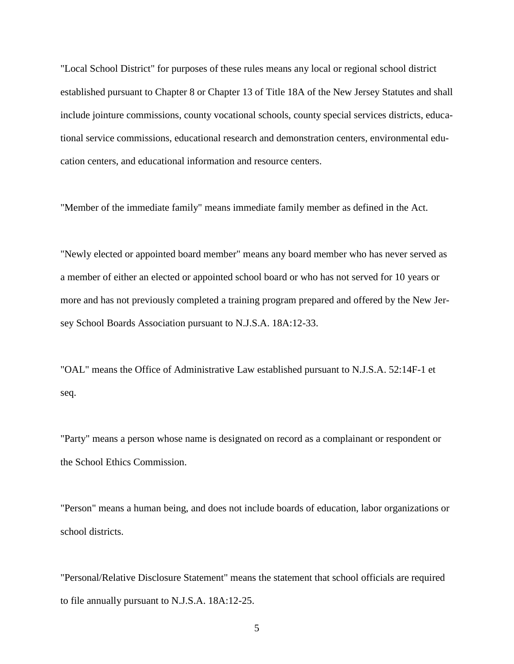"Local School District" for purposes of these rules means any local or regional school district established pursuant to Chapter 8 or Chapter 13 of Title 18A of the New Jersey Statutes and shall include jointure commissions, county vocational schools, county special services districts, educational service commissions, educational research and demonstration centers, environmental education centers, and educational information and resource centers.

"Member of the immediate family" means immediate family member as defined in the Act.

"Newly elected or appointed board member" means any board member who has never served as a member of either an elected or appointed school board or who has not served for 10 years or more and has not previously completed a training program prepared and offered by the New Jersey School Boards Association pursuant to N.J.S.A. 18A:12-33.

"OAL" means the Office of Administrative Law established pursuant to N.J.S.A. 52:14F-1 et seq.

"Party" means a person whose name is designated on record as a complainant or respondent or the School Ethics Commission.

"Person" means a human being, and does not include boards of education, labor organizations or school districts.

"Personal/Relative Disclosure Statement" means the statement that school officials are required to file annually pursuant to N.J.S.A. 18A:12-25.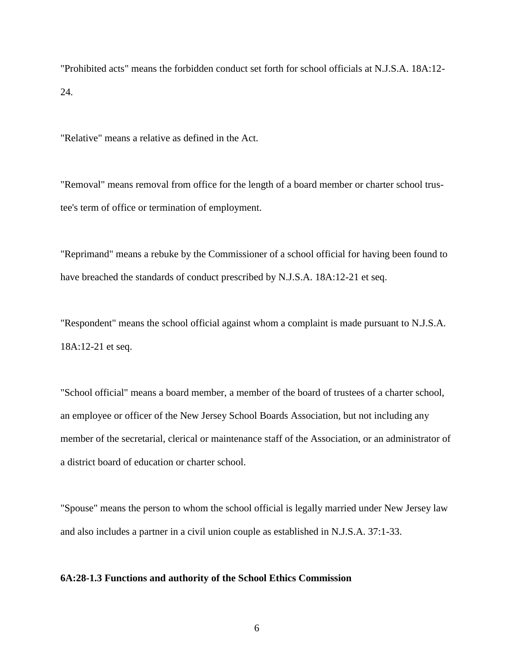"Prohibited acts" means the forbidden conduct set forth for school officials at N.J.S.A. 18A:12- 24.

"Relative" means a relative as defined in the Act.

"Removal" means removal from office for the length of a board member or charter school trustee's term of office or termination of employment.

"Reprimand" means a rebuke by the Commissioner of a school official for having been found to have breached the standards of conduct prescribed by N.J.S.A. 18A:12-21 et seq.

"Respondent" means the school official against whom a complaint is made pursuant to N.J.S.A. 18A:12-21 et seq.

"School official" means a board member, a member of the board of trustees of a charter school, an employee or officer of the New Jersey School Boards Association, but not including any member of the secretarial, clerical or maintenance staff of the Association, or an administrator of a district board of education or charter school.

"Spouse" means the person to whom the school official is legally married under New Jersey law and also includes a partner in a civil union couple as established in N.J.S.A. 37:1-33.

### **6A:28-1.3 Functions and authority of the School Ethics Commission**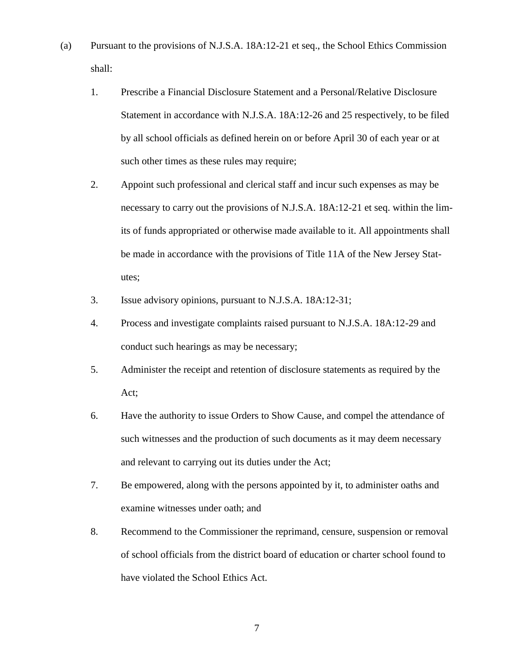- (a) Pursuant to the provisions of N.J.S.A. 18A:12-21 et seq., the School Ethics Commission shall:
	- 1. Prescribe a Financial Disclosure Statement and a Personal/Relative Disclosure Statement in accordance with N.J.S.A. 18A:12-26 and 25 respectively, to be filed by all school officials as defined herein on or before April 30 of each year or at such other times as these rules may require;
	- 2. Appoint such professional and clerical staff and incur such expenses as may be necessary to carry out the provisions of N.J.S.A. 18A:12-21 et seq. within the limits of funds appropriated or otherwise made available to it. All appointments shall be made in accordance with the provisions of Title 11A of the New Jersey Statutes;
	- 3. Issue advisory opinions, pursuant to N.J.S.A. 18A:12-31;
	- 4. Process and investigate complaints raised pursuant to N.J.S.A. 18A:12-29 and conduct such hearings as may be necessary;
	- 5. Administer the receipt and retention of disclosure statements as required by the Act;
	- 6. Have the authority to issue Orders to Show Cause, and compel the attendance of such witnesses and the production of such documents as it may deem necessary and relevant to carrying out its duties under the Act;
	- 7. Be empowered, along with the persons appointed by it, to administer oaths and examine witnesses under oath; and
	- 8. Recommend to the Commissioner the reprimand, censure, suspension or removal of school officials from the district board of education or charter school found to have violated the School Ethics Act.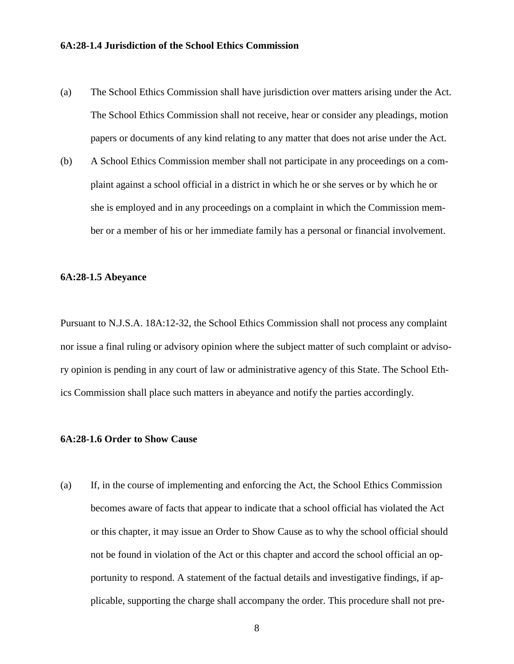#### **6A:28-1.4 Jurisdiction of the School Ethics Commission**

- (a) The School Ethics Commission shall have jurisdiction over matters arising under the Act. The School Ethics Commission shall not receive, hear or consider any pleadings, motion papers or documents of any kind relating to any matter that does not arise under the Act.
- (b) A School Ethics Commission member shall not participate in any proceedings on a complaint against a school official in a district in which he or she serves or by which he or she is employed and in any proceedings on a complaint in which the Commission member or a member of his or her immediate family has a personal or financial involvement.

### **6A:28-1.5 Abeyance**

Pursuant to N.J.S.A. 18A:12-32, the School Ethics Commission shall not process any complaint nor issue a final ruling or advisory opinion where the subject matter of such complaint or advisory opinion is pending in any court of law or administrative agency of this State. The School Ethics Commission shall place such matters in abeyance and notify the parties accordingly.

## **6A:28-1.6 Order to Show Cause**

(a) If, in the course of implementing and enforcing the Act, the School Ethics Commission becomes aware of facts that appear to indicate that a school official has violated the Act or this chapter, it may issue an Order to Show Cause as to why the school official should not be found in violation of the Act or this chapter and accord the school official an opportunity to respond. A statement of the factual details and investigative findings, if applicable, supporting the charge shall accompany the order. This procedure shall not pre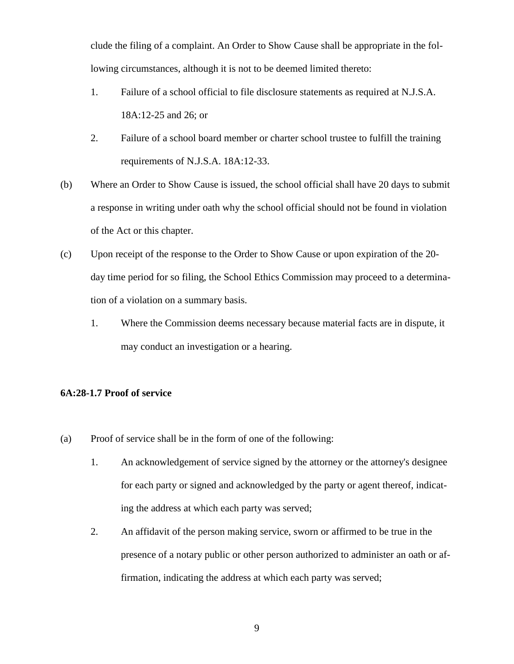clude the filing of a complaint. An Order to Show Cause shall be appropriate in the following circumstances, although it is not to be deemed limited thereto:

- 1. Failure of a school official to file disclosure statements as required at N.J.S.A. 18A:12-25 and 26; or
- 2. Failure of a school board member or charter school trustee to fulfill the training requirements of N.J.S.A. 18A:12-33.
- (b) Where an Order to Show Cause is issued, the school official shall have 20 days to submit a response in writing under oath why the school official should not be found in violation of the Act or this chapter.
- (c) Upon receipt of the response to the Order to Show Cause or upon expiration of the 20 day time period for so filing, the School Ethics Commission may proceed to a determination of a violation on a summary basis.
	- 1. Where the Commission deems necessary because material facts are in dispute, it may conduct an investigation or a hearing.

# **6A:28-1.7 Proof of service**

- (a) Proof of service shall be in the form of one of the following:
	- 1. An acknowledgement of service signed by the attorney or the attorney's designee for each party or signed and acknowledged by the party or agent thereof, indicating the address at which each party was served;
	- 2. An affidavit of the person making service, sworn or affirmed to be true in the presence of a notary public or other person authorized to administer an oath or affirmation, indicating the address at which each party was served;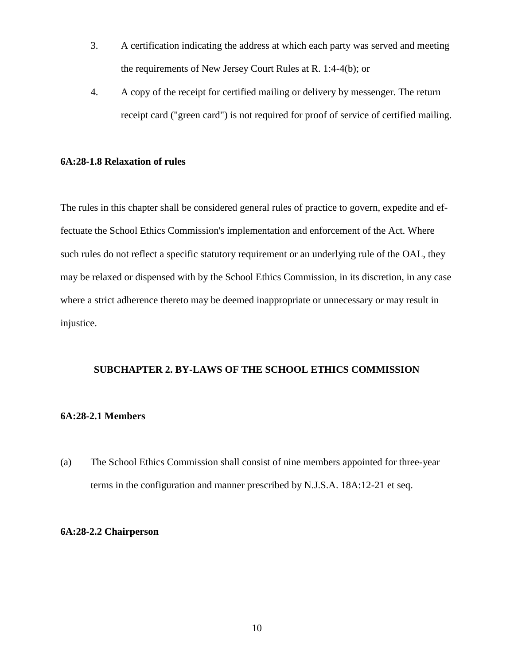- 3. A certification indicating the address at which each party was served and meeting the requirements of New Jersey Court Rules at R. 1:4-4(b); or
- 4. A copy of the receipt for certified mailing or delivery by messenger. The return receipt card ("green card") is not required for proof of service of certified mailing.

# **6A:28-1.8 Relaxation of rules**

The rules in this chapter shall be considered general rules of practice to govern, expedite and effectuate the School Ethics Commission's implementation and enforcement of the Act. Where such rules do not reflect a specific statutory requirement or an underlying rule of the OAL, they may be relaxed or dispensed with by the School Ethics Commission, in its discretion, in any case where a strict adherence thereto may be deemed inappropriate or unnecessary or may result in injustice.

## **SUBCHAPTER 2. BY-LAWS OF THE SCHOOL ETHICS COMMISSION**

## **6A:28-2.1 Members**

(a) The School Ethics Commission shall consist of nine members appointed for three-year terms in the configuration and manner prescribed by N.J.S.A. 18A:12-21 et seq.

## **6A:28-2.2 Chairperson**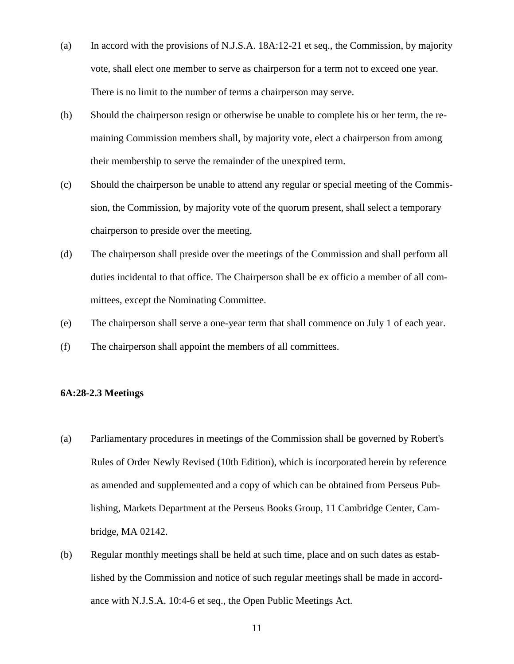- (a) In accord with the provisions of N.J.S.A. 18A:12-21 et seq., the Commission, by majority vote, shall elect one member to serve as chairperson for a term not to exceed one year. There is no limit to the number of terms a chairperson may serve.
- (b) Should the chairperson resign or otherwise be unable to complete his or her term, the remaining Commission members shall, by majority vote, elect a chairperson from among their membership to serve the remainder of the unexpired term.
- (c) Should the chairperson be unable to attend any regular or special meeting of the Commission, the Commission, by majority vote of the quorum present, shall select a temporary chairperson to preside over the meeting.
- (d) The chairperson shall preside over the meetings of the Commission and shall perform all duties incidental to that office. The Chairperson shall be ex officio a member of all committees, except the Nominating Committee.
- (e) The chairperson shall serve a one-year term that shall commence on July 1 of each year.
- (f) The chairperson shall appoint the members of all committees.

#### **6A:28-2.3 Meetings**

- (a) Parliamentary procedures in meetings of the Commission shall be governed by Robert's Rules of Order Newly Revised (10th Edition), which is incorporated herein by reference as amended and supplemented and a copy of which can be obtained from Perseus Publishing, Markets Department at the Perseus Books Group, 11 Cambridge Center, Cambridge, MA 02142.
- (b) Regular monthly meetings shall be held at such time, place and on such dates as established by the Commission and notice of such regular meetings shall be made in accordance with N.J.S.A. 10:4-6 et seq., the Open Public Meetings Act.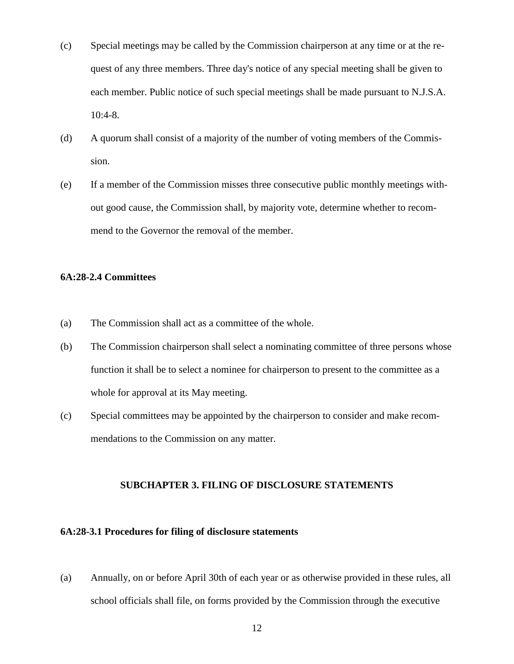- (c) Special meetings may be called by the Commission chairperson at any time or at the request of any three members. Three day's notice of any special meeting shall be given to each member. Public notice of such special meetings shall be made pursuant to N.J.S.A. 10:4-8.
- (d) A quorum shall consist of a majority of the number of voting members of the Commission.
- (e) If a member of the Commission misses three consecutive public monthly meetings without good cause, the Commission shall, by majority vote, determine whether to recommend to the Governor the removal of the member.

# **6A:28-2.4 Committees**

- (a) The Commission shall act as a committee of the whole.
- (b) The Commission chairperson shall select a nominating committee of three persons whose function it shall be to select a nominee for chairperson to present to the committee as a whole for approval at its May meeting.
- (c) Special committees may be appointed by the chairperson to consider and make recommendations to the Commission on any matter.

# **SUBCHAPTER 3. FILING OF DISCLOSURE STATEMENTS**

# **6A:28-3.1 Procedures for filing of disclosure statements**

(a) Annually, on or before April 30th of each year or as otherwise provided in these rules, all school officials shall file, on forms provided by the Commission through the executive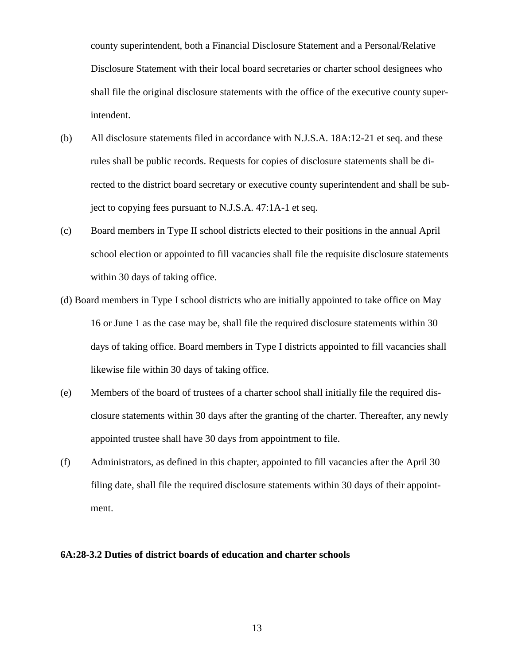county superintendent, both a Financial Disclosure Statement and a Personal/Relative Disclosure Statement with their local board secretaries or charter school designees who shall file the original disclosure statements with the office of the executive county superintendent.

- (b) All disclosure statements filed in accordance with N.J.S.A. 18A:12-21 et seq. and these rules shall be public records. Requests for copies of disclosure statements shall be directed to the district board secretary or executive county superintendent and shall be subject to copying fees pursuant to N.J.S.A. 47:1A-1 et seq.
- (c) Board members in Type II school districts elected to their positions in the annual April school election or appointed to fill vacancies shall file the requisite disclosure statements within 30 days of taking office.
- (d) Board members in Type I school districts who are initially appointed to take office on May 16 or June 1 as the case may be, shall file the required disclosure statements within 30 days of taking office. Board members in Type I districts appointed to fill vacancies shall likewise file within 30 days of taking office.
- (e) Members of the board of trustees of a charter school shall initially file the required disclosure statements within 30 days after the granting of the charter. Thereafter, any newly appointed trustee shall have 30 days from appointment to file.
- (f) Administrators, as defined in this chapter, appointed to fill vacancies after the April 30 filing date, shall file the required disclosure statements within 30 days of their appointment.

# **6A:28-3.2 Duties of district boards of education and charter schools**

13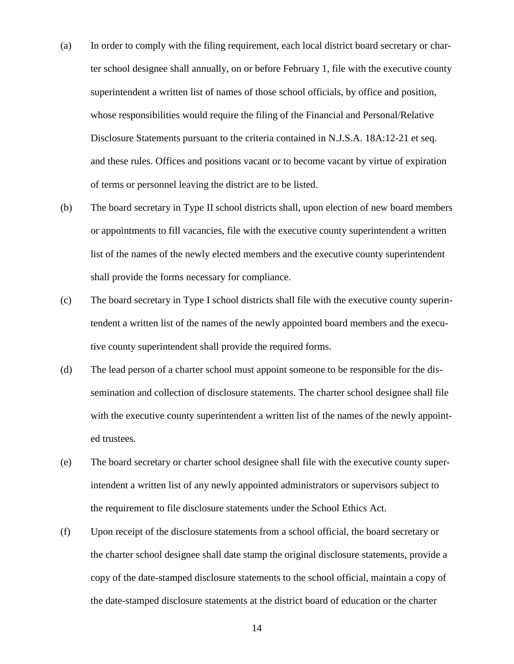- (a) In order to comply with the filing requirement, each local district board secretary or charter school designee shall annually, on or before February 1, file with the executive county superintendent a written list of names of those school officials, by office and position, whose responsibilities would require the filing of the Financial and Personal/Relative Disclosure Statements pursuant to the criteria contained in N.J.S.A. 18A:12-21 et seq. and these rules. Offices and positions vacant or to become vacant by virtue of expiration of terms or personnel leaving the district are to be listed.
- (b) The board secretary in Type II school districts shall, upon election of new board members or appointments to fill vacancies, file with the executive county superintendent a written list of the names of the newly elected members and the executive county superintendent shall provide the forms necessary for compliance.
- (c) The board secretary in Type I school districts shall file with the executive county superintendent a written list of the names of the newly appointed board members and the executive county superintendent shall provide the required forms.
- (d) The lead person of a charter school must appoint someone to be responsible for the dissemination and collection of disclosure statements. The charter school designee shall file with the executive county superintendent a written list of the names of the newly appointed trustees.
- (e) The board secretary or charter school designee shall file with the executive county superintendent a written list of any newly appointed administrators or supervisors subject to the requirement to file disclosure statements under the School Ethics Act.
- (f) Upon receipt of the disclosure statements from a school official, the board secretary or the charter school designee shall date stamp the original disclosure statements, provide a copy of the date-stamped disclosure statements to the school official, maintain a copy of the date-stamped disclosure statements at the district board of education or the charter

14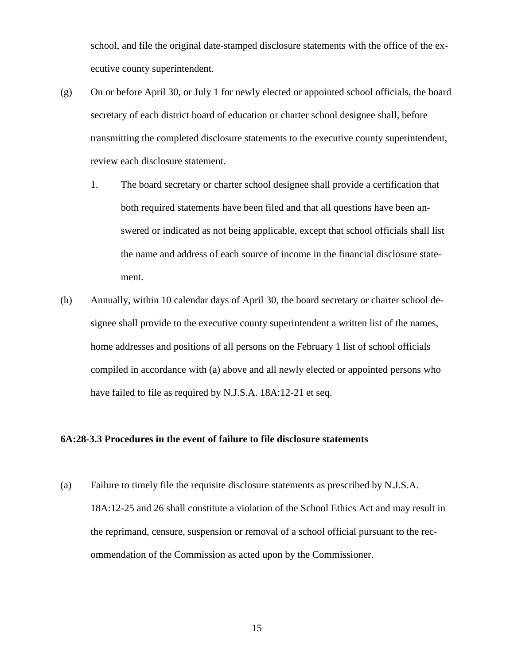school, and file the original date-stamped disclosure statements with the office of the executive county superintendent.

- (g) On or before April 30, or July 1 for newly elected or appointed school officials, the board secretary of each district board of education or charter school designee shall, before transmitting the completed disclosure statements to the executive county superintendent, review each disclosure statement.
	- 1. The board secretary or charter school designee shall provide a certification that both required statements have been filed and that all questions have been answered or indicated as not being applicable, except that school officials shall list the name and address of each source of income in the financial disclosure statement.
- (h) Annually, within 10 calendar days of April 30, the board secretary or charter school designee shall provide to the executive county superintendent a written list of the names, home addresses and positions of all persons on the February 1 list of school officials compiled in accordance with (a) above and all newly elected or appointed persons who have failed to file as required by N.J.S.A. 18A:12-21 et seq.

# **6A:28-3.3 Procedures in the event of failure to file disclosure statements**

(a) Failure to timely file the requisite disclosure statements as prescribed by N.J.S.A. 18A:12-25 and 26 shall constitute a violation of the School Ethics Act and may result in the reprimand, censure, suspension or removal of a school official pursuant to the recommendation of the Commission as acted upon by the Commissioner.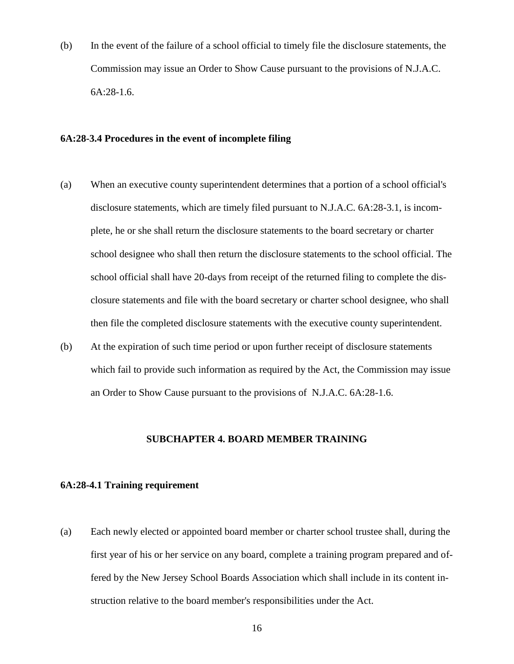(b) In the event of the failure of a school official to timely file the disclosure statements, the Commission may issue an Order to Show Cause pursuant to the provisions of N.J.A.C. 6A:28-1.6.

# **6A:28-3.4 Procedures in the event of incomplete filing**

- (a) When an executive county superintendent determines that a portion of a school official's disclosure statements, which are timely filed pursuant to N.J.A.C. 6A:28-3.1, is incomplete, he or she shall return the disclosure statements to the board secretary or charter school designee who shall then return the disclosure statements to the school official. The school official shall have 20-days from receipt of the returned filing to complete the disclosure statements and file with the board secretary or charter school designee, who shall then file the completed disclosure statements with the executive county superintendent.
- (b) At the expiration of such time period or upon further receipt of disclosure statements which fail to provide such information as required by the Act, the Commission may issue an Order to Show Cause pursuant to the provisions of N.J.A.C. 6A:28-1.6.

# **SUBCHAPTER 4. BOARD MEMBER TRAINING**

### **6A:28-4.1 Training requirement**

(a) Each newly elected or appointed board member or charter school trustee shall, during the first year of his or her service on any board, complete a training program prepared and offered by the New Jersey School Boards Association which shall include in its content instruction relative to the board member's responsibilities under the Act.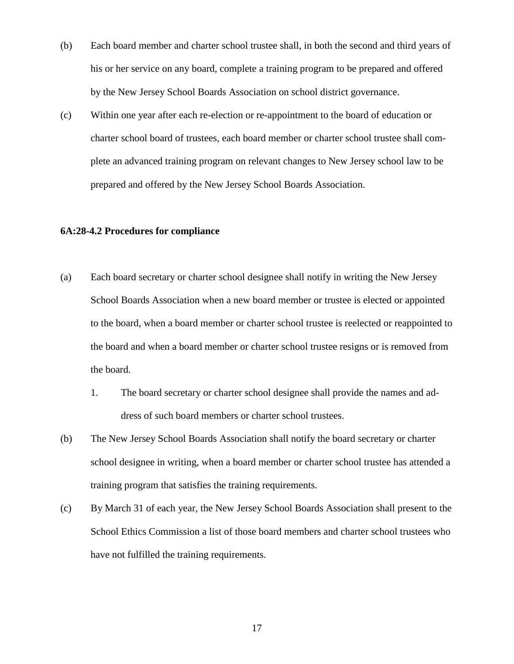- (b) Each board member and charter school trustee shall, in both the second and third years of his or her service on any board, complete a training program to be prepared and offered by the New Jersey School Boards Association on school district governance.
- (c) Within one year after each re-election or re-appointment to the board of education or charter school board of trustees, each board member or charter school trustee shall complete an advanced training program on relevant changes to New Jersey school law to be prepared and offered by the New Jersey School Boards Association.

# **6A:28-4.2 Procedures for compliance**

- (a) Each board secretary or charter school designee shall notify in writing the New Jersey School Boards Association when a new board member or trustee is elected or appointed to the board, when a board member or charter school trustee is reelected or reappointed to the board and when a board member or charter school trustee resigns or is removed from the board.
	- 1. The board secretary or charter school designee shall provide the names and address of such board members or charter school trustees.
- (b) The New Jersey School Boards Association shall notify the board secretary or charter school designee in writing, when a board member or charter school trustee has attended a training program that satisfies the training requirements.
- (c) By March 31 of each year, the New Jersey School Boards Association shall present to the School Ethics Commission a list of those board members and charter school trustees who have not fulfilled the training requirements.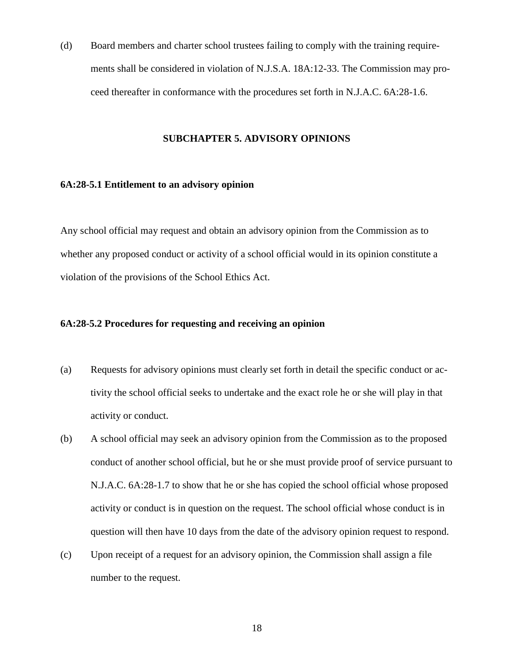(d) Board members and charter school trustees failing to comply with the training requirements shall be considered in violation of N.J.S.A. 18A:12-33. The Commission may proceed thereafter in conformance with the procedures set forth in N.J.A.C. 6A:28-1.6.

# **SUBCHAPTER 5. ADVISORY OPINIONS**

## **6A:28-5.1 Entitlement to an advisory opinion**

Any school official may request and obtain an advisory opinion from the Commission as to whether any proposed conduct or activity of a school official would in its opinion constitute a violation of the provisions of the School Ethics Act.

# **6A:28-5.2 Procedures for requesting and receiving an opinion**

- (a) Requests for advisory opinions must clearly set forth in detail the specific conduct or activity the school official seeks to undertake and the exact role he or she will play in that activity or conduct.
- (b) A school official may seek an advisory opinion from the Commission as to the proposed conduct of another school official, but he or she must provide proof of service pursuant to N.J.A.C. 6A:28-1.7 to show that he or she has copied the school official whose proposed activity or conduct is in question on the request. The school official whose conduct is in question will then have 10 days from the date of the advisory opinion request to respond.
- (c) Upon receipt of a request for an advisory opinion, the Commission shall assign a file number to the request.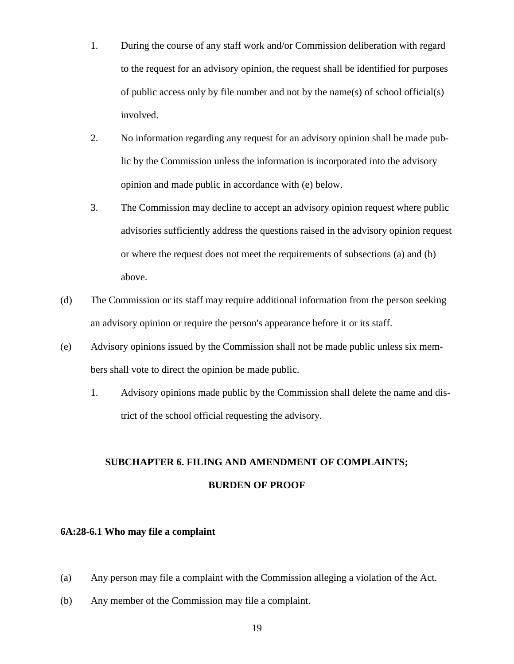- 1. During the course of any staff work and/or Commission deliberation with regard to the request for an advisory opinion, the request shall be identified for purposes of public access only by file number and not by the name(s) of school official(s) involved.
- 2. No information regarding any request for an advisory opinion shall be made public by the Commission unless the information is incorporated into the advisory opinion and made public in accordance with (e) below.
- 3. The Commission may decline to accept an advisory opinion request where public advisories sufficiently address the questions raised in the advisory opinion request or where the request does not meet the requirements of subsections (a) and (b) above.
- (d) The Commission or its staff may require additional information from the person seeking an advisory opinion or require the person's appearance before it or its staff.
- (e) Advisory opinions issued by the Commission shall not be made public unless six members shall vote to direct the opinion be made public.
	- 1. Advisory opinions made public by the Commission shall delete the name and district of the school official requesting the advisory.

# **SUBCHAPTER 6. FILING AND AMENDMENT OF COMPLAINTS; BURDEN OF PROOF**

## **6A:28-6.1 Who may file a complaint**

- (a) Any person may file a complaint with the Commission alleging a violation of the Act.
- (b) Any member of the Commission may file a complaint.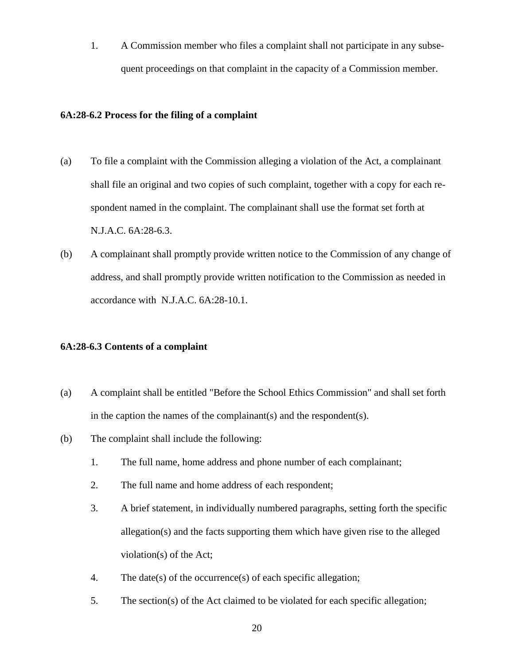1. A Commission member who files a complaint shall not participate in any subsequent proceedings on that complaint in the capacity of a Commission member.

# **6A:28-6.2 Process for the filing of a complaint**

- (a) To file a complaint with the Commission alleging a violation of the Act, a complainant shall file an original and two copies of such complaint, together with a copy for each respondent named in the complaint. The complainant shall use the format set forth at N.J.A.C. 6A:28-6.3.
- (b) A complainant shall promptly provide written notice to the Commission of any change of address, and shall promptly provide written notification to the Commission as needed in accordance with N.J.A.C. 6A:28-10.1.

# **6A:28-6.3 Contents of a complaint**

- (a) A complaint shall be entitled "Before the School Ethics Commission" and shall set forth in the caption the names of the complainant(s) and the respondent(s).
- (b) The complaint shall include the following:
	- 1. The full name, home address and phone number of each complainant;
	- 2. The full name and home address of each respondent;
	- 3. A brief statement, in individually numbered paragraphs, setting forth the specific allegation(s) and the facts supporting them which have given rise to the alleged violation(s) of the Act;
	- 4. The date(s) of the occurrence(s) of each specific allegation;
	- 5. The section(s) of the Act claimed to be violated for each specific allegation;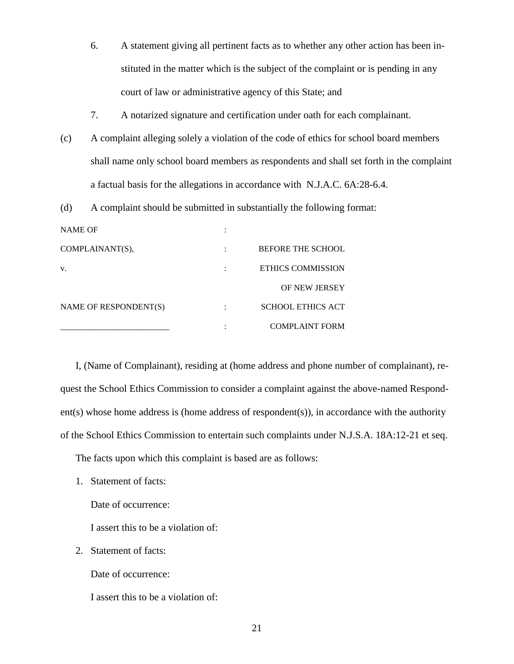- 6. A statement giving all pertinent facts as to whether any other action has been instituted in the matter which is the subject of the complaint or is pending in any court of law or administrative agency of this State; and
- 7. A notarized signature and certification under oath for each complainant.
- (c) A complaint alleging solely a violation of the code of ethics for school board members shall name only school board members as respondents and shall set forth in the complaint a factual basis for the allegations in accordance with N.J.A.C. 6A:28-6.4.
- (d) A complaint should be submitted in substantially the following format:

| <b>NAME OF</b>        | ٠ |                          |
|-----------------------|---|--------------------------|
| COMPLAINANT(S),       |   | <b>BEFORE THE SCHOOL</b> |
| V.                    |   | ETHICS COMMISSION        |
|                       |   | <b>OF NEW JERSEY</b>     |
| NAME OF RESPONDENT(S) |   | <b>SCHOOL ETHICS ACT</b> |
|                       |   | <b>COMPLAINT FORM</b>    |

I, (Name of Complainant), residing at (home address and phone number of complainant), request the School Ethics Commission to consider a complaint against the above-named Respondent(s) whose home address is (home address of respondent(s)), in accordance with the authority of the School Ethics Commission to entertain such complaints under N.J.S.A. 18A:12-21 et seq.

The facts upon which this complaint is based are as follows:

1. Statement of facts:

Date of occurrence:

I assert this to be a violation of:

2. Statement of facts:

Date of occurrence:

I assert this to be a violation of:

21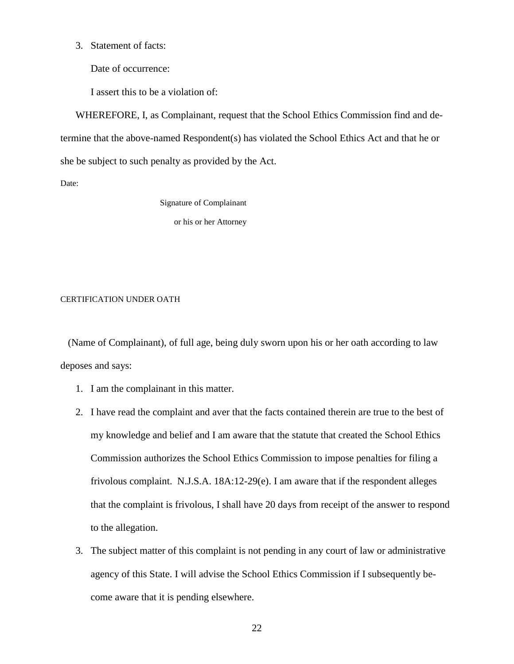3. Statement of facts:

Date of occurrence:

I assert this to be a violation of:

WHEREFORE, I, as Complainant, request that the School Ethics Commission find and determine that the above-named Respondent(s) has violated the School Ethics Act and that he or she be subject to such penalty as provided by the Act.

Date:

Signature of Complainant

or his or her Attorney

#### CERTIFICATION UNDER OATH

(Name of Complainant), of full age, being duly sworn upon his or her oath according to law deposes and says:

- 1. I am the complainant in this matter.
- 2. I have read the complaint and aver that the facts contained therein are true to the best of my knowledge and belief and I am aware that the statute that created the School Ethics Commission authorizes the School Ethics Commission to impose penalties for filing a frivolous complaint. N.J.S.A. 18A:12-29(e). I am aware that if the respondent alleges that the complaint is frivolous, I shall have 20 days from receipt of the answer to respond to the allegation.
- 3. The subject matter of this complaint is not pending in any court of law or administrative agency of this State. I will advise the School Ethics Commission if I subsequently become aware that it is pending elsewhere.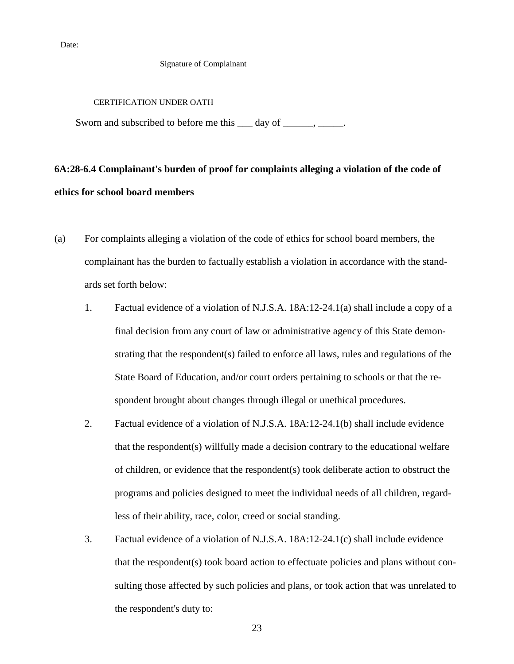Date:

Signature of Complainant

## CERTIFICATION UNDER OATH

Sworn and subscribed to before me this  $\qquad \qquad$  day of  $\qquad \qquad$ .

# **6A:28-6.4 Complainant's burden of proof for complaints alleging a violation of the code of ethics for school board members**

- (a) For complaints alleging a violation of the code of ethics for school board members, the complainant has the burden to factually establish a violation in accordance with the standards set forth below:
	- 1. Factual evidence of a violation of N.J.S.A. 18A:12-24.1(a) shall include a copy of a final decision from any court of law or administrative agency of this State demonstrating that the respondent(s) failed to enforce all laws, rules and regulations of the State Board of Education, and/or court orders pertaining to schools or that the respondent brought about changes through illegal or unethical procedures.
	- 2. Factual evidence of a violation of N.J.S.A. 18A:12-24.1(b) shall include evidence that the respondent(s) willfully made a decision contrary to the educational welfare of children, or evidence that the respondent(s) took deliberate action to obstruct the programs and policies designed to meet the individual needs of all children, regardless of their ability, race, color, creed or social standing.
	- 3. Factual evidence of a violation of N.J.S.A. 18A:12-24.1(c) shall include evidence that the respondent(s) took board action to effectuate policies and plans without consulting those affected by such policies and plans, or took action that was unrelated to the respondent's duty to: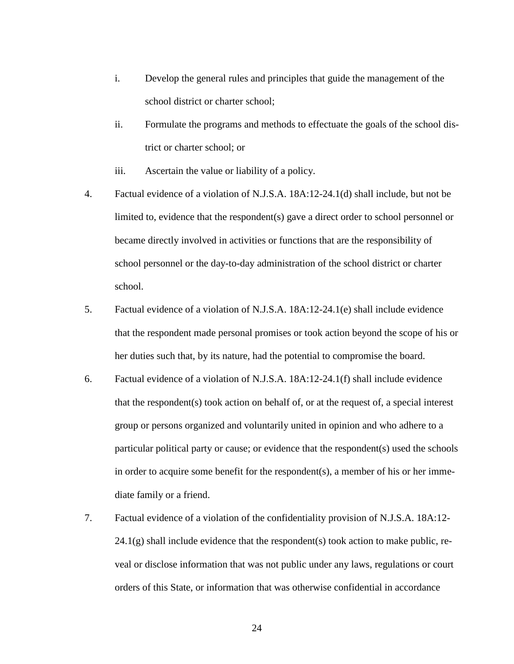- i. Develop the general rules and principles that guide the management of the school district or charter school;
- ii. Formulate the programs and methods to effectuate the goals of the school district or charter school; or
- iii. Ascertain the value or liability of a policy.
- 4. Factual evidence of a violation of N.J.S.A. 18A:12-24.1(d) shall include, but not be limited to, evidence that the respondent(s) gave a direct order to school personnel or became directly involved in activities or functions that are the responsibility of school personnel or the day-to-day administration of the school district or charter school.
- 5. Factual evidence of a violation of N.J.S.A. 18A:12-24.1(e) shall include evidence that the respondent made personal promises or took action beyond the scope of his or her duties such that, by its nature, had the potential to compromise the board.
- 6. Factual evidence of a violation of N.J.S.A. 18A:12-24.1(f) shall include evidence that the respondent(s) took action on behalf of, or at the request of, a special interest group or persons organized and voluntarily united in opinion and who adhere to a particular political party or cause; or evidence that the respondent(s) used the schools in order to acquire some benefit for the respondent(s), a member of his or her immediate family or a friend.
- 7. Factual evidence of a violation of the confidentiality provision of N.J.S.A. 18A:12-  $24.1(g)$  shall include evidence that the respondent(s) took action to make public, reveal or disclose information that was not public under any laws, regulations or court orders of this State, or information that was otherwise confidential in accordance

24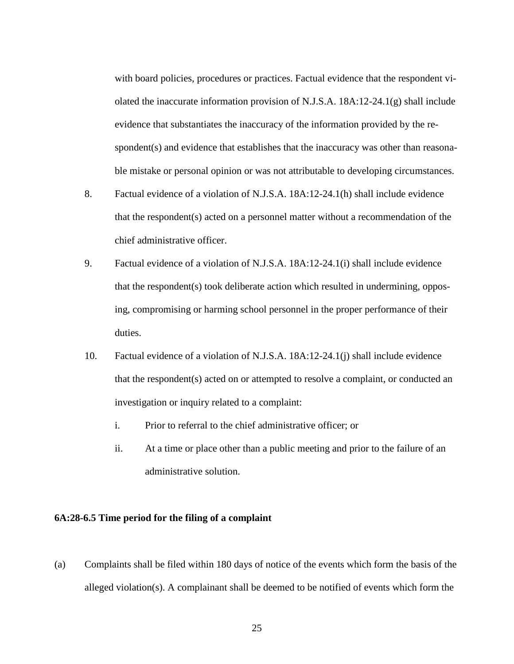with board policies, procedures or practices. Factual evidence that the respondent violated the inaccurate information provision of N.J.S.A. 18A:12-24.1(g) shall include evidence that substantiates the inaccuracy of the information provided by the respondent(s) and evidence that establishes that the inaccuracy was other than reasonable mistake or personal opinion or was not attributable to developing circumstances.

- 8. Factual evidence of a violation of N.J.S.A. 18A:12-24.1(h) shall include evidence that the respondent(s) acted on a personnel matter without a recommendation of the chief administrative officer.
- 9. Factual evidence of a violation of N.J.S.A. 18A:12-24.1(i) shall include evidence that the respondent(s) took deliberate action which resulted in undermining, opposing, compromising or harming school personnel in the proper performance of their duties.
- 10. Factual evidence of a violation of N.J.S.A. 18A:12-24.1(j) shall include evidence that the respondent(s) acted on or attempted to resolve a complaint, or conducted an investigation or inquiry related to a complaint:
	- i. Prior to referral to the chief administrative officer; or
	- ii. At a time or place other than a public meeting and prior to the failure of an administrative solution.

## **6A:28-6.5 Time period for the filing of a complaint**

(a) Complaints shall be filed within 180 days of notice of the events which form the basis of the alleged violation(s). A complainant shall be deemed to be notified of events which form the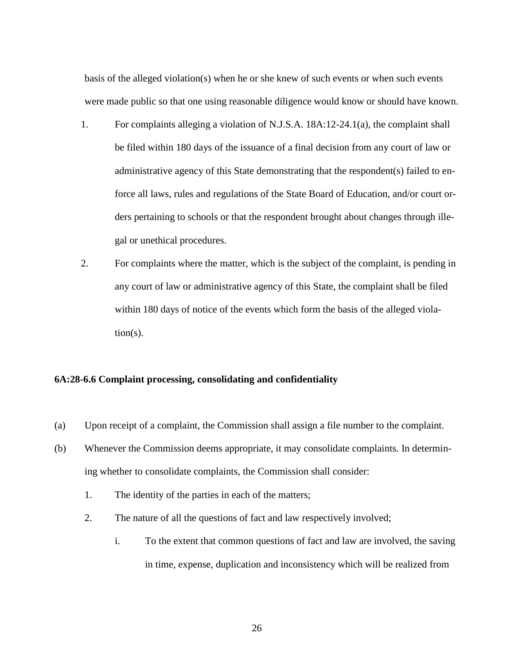basis of the alleged violation(s) when he or she knew of such events or when such events were made public so that one using reasonable diligence would know or should have known.

- 1. For complaints alleging a violation of N.J.S.A. 18A:12-24.1(a), the complaint shall be filed within 180 days of the issuance of a final decision from any court of law or administrative agency of this State demonstrating that the respondent(s) failed to enforce all laws, rules and regulations of the State Board of Education, and/or court orders pertaining to schools or that the respondent brought about changes through illegal or unethical procedures.
- 2. For complaints where the matter, which is the subject of the complaint, is pending in any court of law or administrative agency of this State, the complaint shall be filed within 180 days of notice of the events which form the basis of the alleged violation(s).

## **6A:28-6.6 Complaint processing, consolidating and confidentiality**

- (a) Upon receipt of a complaint, the Commission shall assign a file number to the complaint.
- (b) Whenever the Commission deems appropriate, it may consolidate complaints. In determining whether to consolidate complaints, the Commission shall consider:
	- 1. The identity of the parties in each of the matters;
	- 2. The nature of all the questions of fact and law respectively involved;
		- i. To the extent that common questions of fact and law are involved, the saving in time, expense, duplication and inconsistency which will be realized from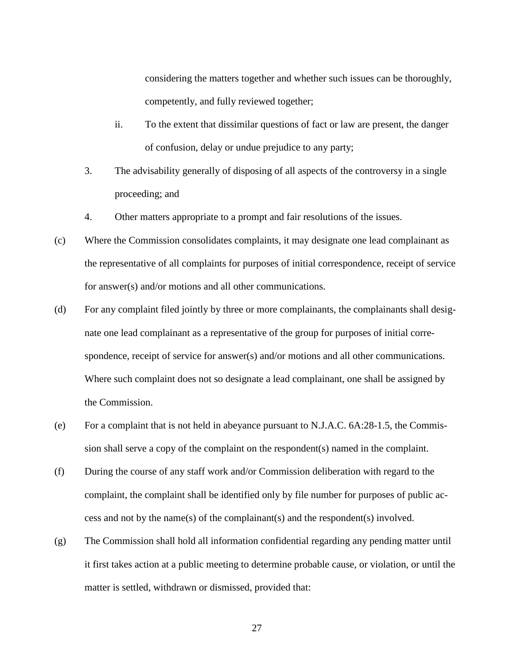considering the matters together and whether such issues can be thoroughly, competently, and fully reviewed together;

- ii. To the extent that dissimilar questions of fact or law are present, the danger of confusion, delay or undue prejudice to any party;
- 3. The advisability generally of disposing of all aspects of the controversy in a single proceeding; and
- 4. Other matters appropriate to a prompt and fair resolutions of the issues.
- (c) Where the Commission consolidates complaints, it may designate one lead complainant as the representative of all complaints for purposes of initial correspondence, receipt of service for answer(s) and/or motions and all other communications.
- (d) For any complaint filed jointly by three or more complainants, the complainants shall designate one lead complainant as a representative of the group for purposes of initial correspondence, receipt of service for answer(s) and/or motions and all other communications. Where such complaint does not so designate a lead complainant, one shall be assigned by the Commission.
- (e) For a complaint that is not held in abeyance pursuant to N.J.A.C. 6A:28-1.5, the Commission shall serve a copy of the complaint on the respondent(s) named in the complaint.
- (f) During the course of any staff work and/or Commission deliberation with regard to the complaint, the complaint shall be identified only by file number for purposes of public access and not by the name(s) of the complainant(s) and the respondent(s) involved.
- (g) The Commission shall hold all information confidential regarding any pending matter until it first takes action at a public meeting to determine probable cause, or violation, or until the matter is settled, withdrawn or dismissed, provided that:

27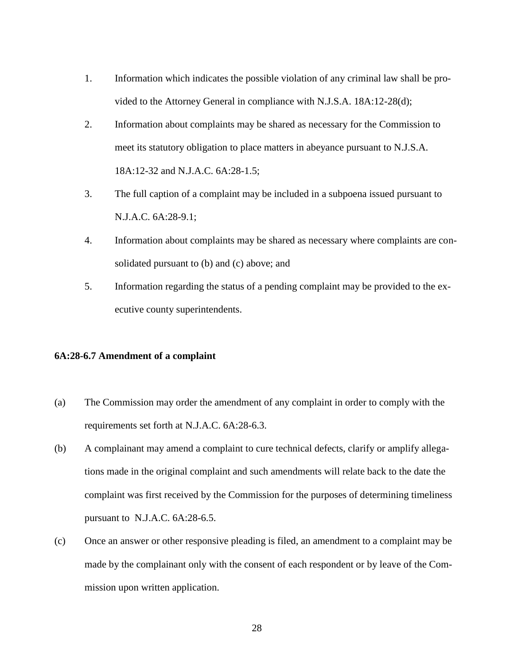- 1. Information which indicates the possible violation of any criminal law shall be provided to the Attorney General in compliance with N.J.S.A. 18A:12-28(d);
- 2. Information about complaints may be shared as necessary for the Commission to meet its statutory obligation to place matters in abeyance pursuant to N.J.S.A. 18A:12-32 and N.J.A.C. 6A:28-1.5;
- 3. The full caption of a complaint may be included in a subpoena issued pursuant to N.J.A.C. 6A:28-9.1;
- 4. Information about complaints may be shared as necessary where complaints are consolidated pursuant to (b) and (c) above; and
- 5. Information regarding the status of a pending complaint may be provided to the executive county superintendents.

## **6A:28-6.7 Amendment of a complaint**

- (a) The Commission may order the amendment of any complaint in order to comply with the requirements set forth at N.J.A.C. 6A:28-6.3.
- (b) A complainant may amend a complaint to cure technical defects, clarify or amplify allegations made in the original complaint and such amendments will relate back to the date the complaint was first received by the Commission for the purposes of determining timeliness pursuant to N.J.A.C. 6A:28-6.5.
- (c) Once an answer or other responsive pleading is filed, an amendment to a complaint may be made by the complainant only with the consent of each respondent or by leave of the Commission upon written application.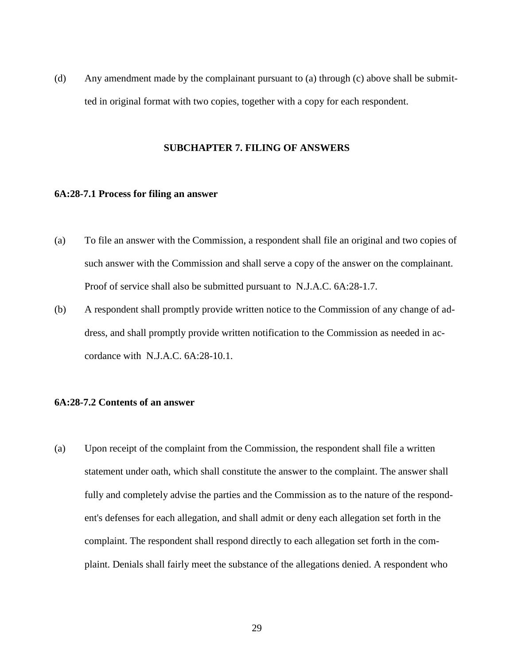(d) Any amendment made by the complainant pursuant to (a) through (c) above shall be submitted in original format with two copies, together with a copy for each respondent.

## **SUBCHAPTER 7. FILING OF ANSWERS**

#### **6A:28-7.1 Process for filing an answer**

- (a) To file an answer with the Commission, a respondent shall file an original and two copies of such answer with the Commission and shall serve a copy of the answer on the complainant. Proof of service shall also be submitted pursuant to N.J.A.C. 6A:28-1.7.
- (b) A respondent shall promptly provide written notice to the Commission of any change of address, and shall promptly provide written notification to the Commission as needed in accordance with N.J.A.C. 6A:28-10.1.

# **6A:28-7.2 Contents of an answer**

(a) Upon receipt of the complaint from the Commission, the respondent shall file a written statement under oath, which shall constitute the answer to the complaint. The answer shall fully and completely advise the parties and the Commission as to the nature of the respondent's defenses for each allegation, and shall admit or deny each allegation set forth in the complaint. The respondent shall respond directly to each allegation set forth in the complaint. Denials shall fairly meet the substance of the allegations denied. A respondent who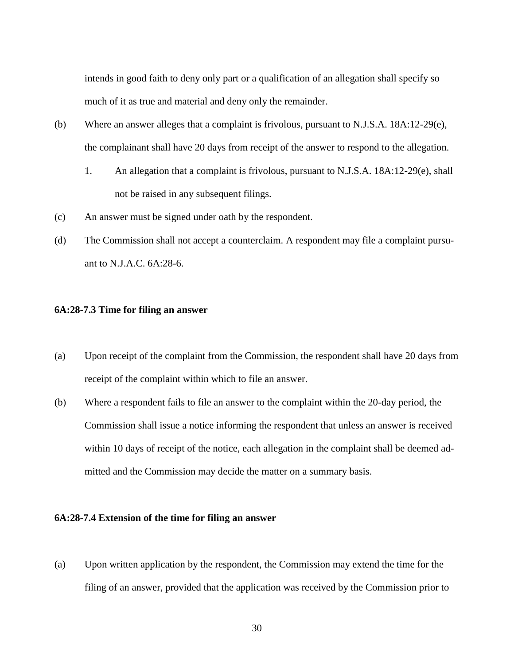intends in good faith to deny only part or a qualification of an allegation shall specify so much of it as true and material and deny only the remainder.

- (b) Where an answer alleges that a complaint is frivolous, pursuant to N.J.S.A. 18A:12-29(e), the complainant shall have 20 days from receipt of the answer to respond to the allegation.
	- 1. An allegation that a complaint is frivolous, pursuant to N.J.S.A. 18A:12-29(e), shall not be raised in any subsequent filings.
- (c) An answer must be signed under oath by the respondent.
- (d) The Commission shall not accept a counterclaim. A respondent may file a complaint pursuant to N.J.A.C. 6A:28-6.

### **6A:28-7.3 Time for filing an answer**

- (a) Upon receipt of the complaint from the Commission, the respondent shall have 20 days from receipt of the complaint within which to file an answer.
- (b) Where a respondent fails to file an answer to the complaint within the 20-day period, the Commission shall issue a notice informing the respondent that unless an answer is received within 10 days of receipt of the notice, each allegation in the complaint shall be deemed admitted and the Commission may decide the matter on a summary basis.

### **6A:28-7.4 Extension of the time for filing an answer**

(a) Upon written application by the respondent, the Commission may extend the time for the filing of an answer, provided that the application was received by the Commission prior to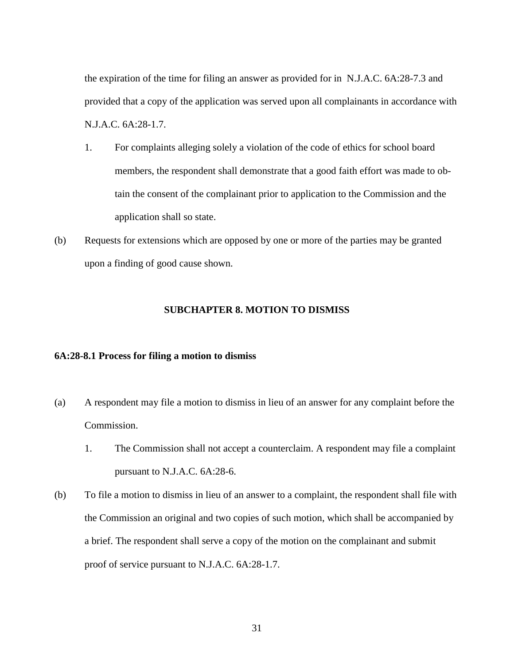the expiration of the time for filing an answer as provided for in N.J.A.C. 6A:28-7.3 and provided that a copy of the application was served upon all complainants in accordance with N.J.A.C. 6A:28-1.7.

- 1. For complaints alleging solely a violation of the code of ethics for school board members, the respondent shall demonstrate that a good faith effort was made to obtain the consent of the complainant prior to application to the Commission and the application shall so state.
- (b) Requests for extensions which are opposed by one or more of the parties may be granted upon a finding of good cause shown.

### **SUBCHAPTER 8. MOTION TO DISMISS**

#### **6A:28-8.1 Process for filing a motion to dismiss**

- (a) A respondent may file a motion to dismiss in lieu of an answer for any complaint before the Commission.
	- 1. The Commission shall not accept a counterclaim. A respondent may file a complaint pursuant to N.J.A.C. 6A:28-6.
- (b) To file a motion to dismiss in lieu of an answer to a complaint, the respondent shall file with the Commission an original and two copies of such motion, which shall be accompanied by a brief. The respondent shall serve a copy of the motion on the complainant and submit proof of service pursuant to N.J.A.C. 6A:28-1.7.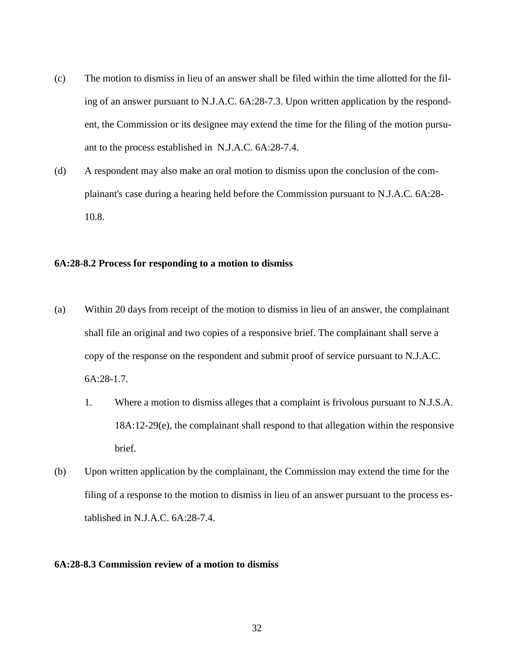- (c) The motion to dismiss in lieu of an answer shall be filed within the time allotted for the filing of an answer pursuant to N.J.A.C. 6A:28-7.3. Upon written application by the respondent, the Commission or its designee may extend the time for the filing of the motion pursuant to the process established in N.J.A.C. 6A:28-7.4.
- (d) A respondent may also make an oral motion to dismiss upon the conclusion of the complainant's case during a hearing held before the Commission pursuant to N.J.A.C. 6A:28- 10.8.

#### **6A:28-8.2 Process for responding to a motion to dismiss**

- (a) Within 20 days from receipt of the motion to dismiss in lieu of an answer, the complainant shall file an original and two copies of a responsive brief. The complainant shall serve a copy of the response on the respondent and submit proof of service pursuant to N.J.A.C. 6A:28-1.7.
	- 1. Where a motion to dismiss alleges that a complaint is frivolous pursuant to N.J.S.A. 18A:12-29(e), the complainant shall respond to that allegation within the responsive brief.
- (b) Upon written application by the complainant, the Commission may extend the time for the filing of a response to the motion to dismiss in lieu of an answer pursuant to the process established in N.J.A.C. 6A:28-7.4.

## **6A:28-8.3 Commission review of a motion to dismiss**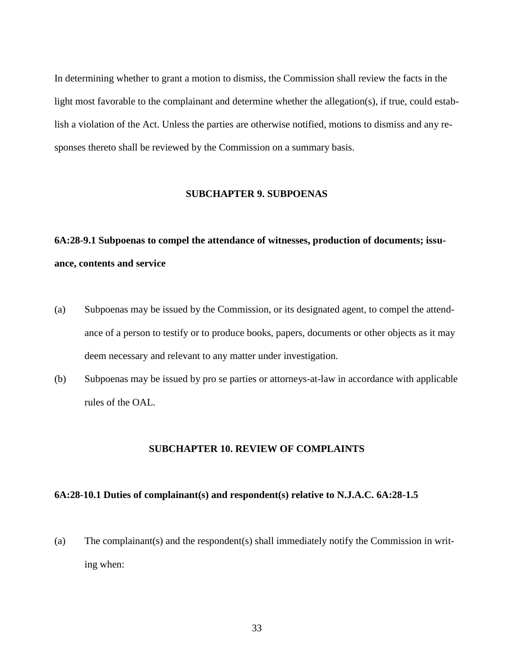In determining whether to grant a motion to dismiss, the Commission shall review the facts in the light most favorable to the complainant and determine whether the allegation(s), if true, could establish a violation of the Act. Unless the parties are otherwise notified, motions to dismiss and any responses thereto shall be reviewed by the Commission on a summary basis.

## **SUBCHAPTER 9. SUBPOENAS**

# **6A:28-9.1 Subpoenas to compel the attendance of witnesses, production of documents; issuance, contents and service**

- (a) Subpoenas may be issued by the Commission, or its designated agent, to compel the attendance of a person to testify or to produce books, papers, documents or other objects as it may deem necessary and relevant to any matter under investigation.
- (b) Subpoenas may be issued by pro se parties or attorneys-at-law in accordance with applicable rules of the OAL.

## **SUBCHAPTER 10. REVIEW OF COMPLAINTS**

# **6A:28-10.1 Duties of complainant(s) and respondent(s) relative to N.J.A.C. 6A:28-1.5**

(a) The complainant(s) and the respondent(s) shall immediately notify the Commission in writing when: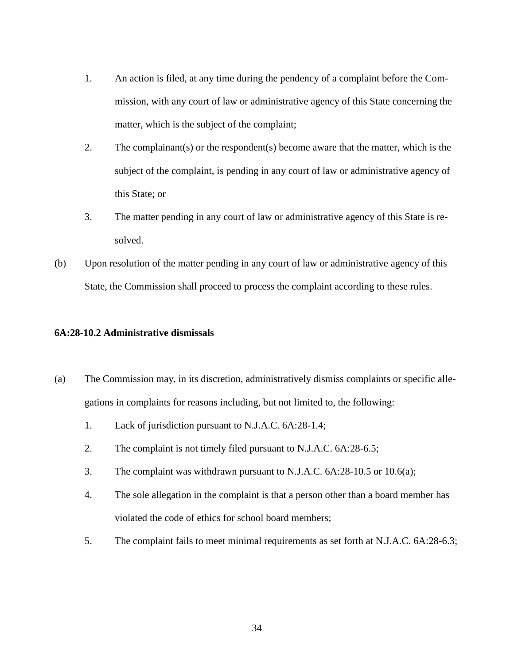- 1. An action is filed, at any time during the pendency of a complaint before the Commission, with any court of law or administrative agency of this State concerning the matter, which is the subject of the complaint;
- 2. The complainant(s) or the respondent(s) become aware that the matter, which is the subject of the complaint, is pending in any court of law or administrative agency of this State; or
- 3. The matter pending in any court of law or administrative agency of this State is resolved.
- (b) Upon resolution of the matter pending in any court of law or administrative agency of this State, the Commission shall proceed to process the complaint according to these rules.

# **6A:28-10.2 Administrative dismissals**

- (a) The Commission may, in its discretion, administratively dismiss complaints or specific allegations in complaints for reasons including, but not limited to, the following:
	- 1. Lack of jurisdiction pursuant to N.J.A.C. 6A:28-1.4;
	- 2. The complaint is not timely filed pursuant to N.J.A.C. 6A:28-6.5;
	- 3. The complaint was withdrawn pursuant to N.J.A.C. 6A:28-10.5 or 10.6(a);
	- 4. The sole allegation in the complaint is that a person other than a board member has violated the code of ethics for school board members;
	- 5. The complaint fails to meet minimal requirements as set forth at N.J.A.C. 6A:28-6.3;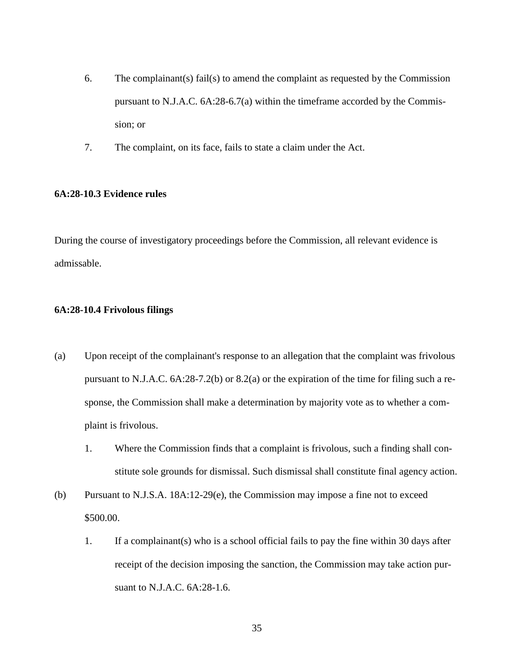- 6. The complainant(s) fail(s) to amend the complaint as requested by the Commission pursuant to N.J.A.C. 6A:28-6.7(a) within the timeframe accorded by the Commission; or
- 7. The complaint, on its face, fails to state a claim under the Act.

# **6A:28-10.3 Evidence rules**

During the course of investigatory proceedings before the Commission, all relevant evidence is admissable.

## **6A:28-10.4 Frivolous filings**

- (a) Upon receipt of the complainant's response to an allegation that the complaint was frivolous pursuant to N.J.A.C. 6A:28-7.2(b) or 8.2(a) or the expiration of the time for filing such a response, the Commission shall make a determination by majority vote as to whether a complaint is frivolous.
	- 1. Where the Commission finds that a complaint is frivolous, such a finding shall constitute sole grounds for dismissal. Such dismissal shall constitute final agency action.
- (b) Pursuant to N.J.S.A. 18A:12-29(e), the Commission may impose a fine not to exceed \$500.00.
	- 1. If a complainant(s) who is a school official fails to pay the fine within 30 days after receipt of the decision imposing the sanction, the Commission may take action pursuant to N.J.A.C. 6A:28-1.6.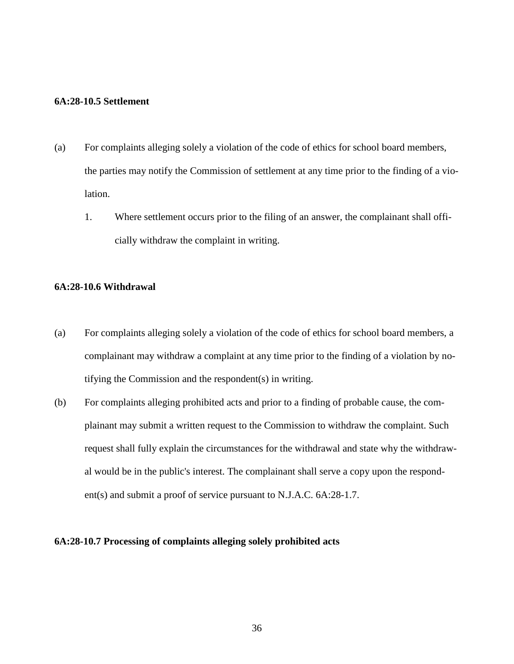# **6A:28-10.5 Settlement**

- (a) For complaints alleging solely a violation of the code of ethics for school board members, the parties may notify the Commission of settlement at any time prior to the finding of a violation.
	- 1. Where settlement occurs prior to the filing of an answer, the complainant shall officially withdraw the complaint in writing.

## **6A:28-10.6 Withdrawal**

- (a) For complaints alleging solely a violation of the code of ethics for school board members, a complainant may withdraw a complaint at any time prior to the finding of a violation by notifying the Commission and the respondent(s) in writing.
- (b) For complaints alleging prohibited acts and prior to a finding of probable cause, the complainant may submit a written request to the Commission to withdraw the complaint. Such request shall fully explain the circumstances for the withdrawal and state why the withdrawal would be in the public's interest. The complainant shall serve a copy upon the respondent(s) and submit a proof of service pursuant to N.J.A.C. 6A:28-1.7.

# **6A:28-10.7 Processing of complaints alleging solely prohibited acts**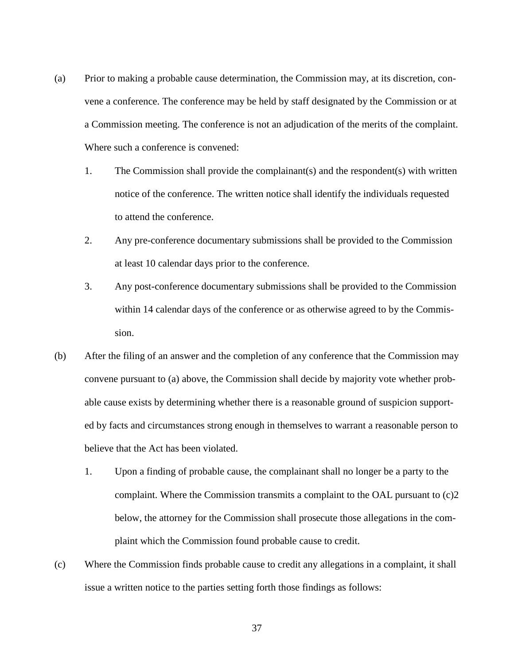- (a) Prior to making a probable cause determination, the Commission may, at its discretion, convene a conference. The conference may be held by staff designated by the Commission or at a Commission meeting. The conference is not an adjudication of the merits of the complaint. Where such a conference is convened:
	- 1. The Commission shall provide the complainant(s) and the respondent(s) with written notice of the conference. The written notice shall identify the individuals requested to attend the conference.
	- 2. Any pre-conference documentary submissions shall be provided to the Commission at least 10 calendar days prior to the conference.
	- 3. Any post-conference documentary submissions shall be provided to the Commission within 14 calendar days of the conference or as otherwise agreed to by the Commission.
- (b) After the filing of an answer and the completion of any conference that the Commission may convene pursuant to (a) above, the Commission shall decide by majority vote whether probable cause exists by determining whether there is a reasonable ground of suspicion supported by facts and circumstances strong enough in themselves to warrant a reasonable person to believe that the Act has been violated.
	- 1. Upon a finding of probable cause, the complainant shall no longer be a party to the complaint. Where the Commission transmits a complaint to the OAL pursuant to (c)2 below, the attorney for the Commission shall prosecute those allegations in the complaint which the Commission found probable cause to credit.
- (c) Where the Commission finds probable cause to credit any allegations in a complaint, it shall issue a written notice to the parties setting forth those findings as follows:

37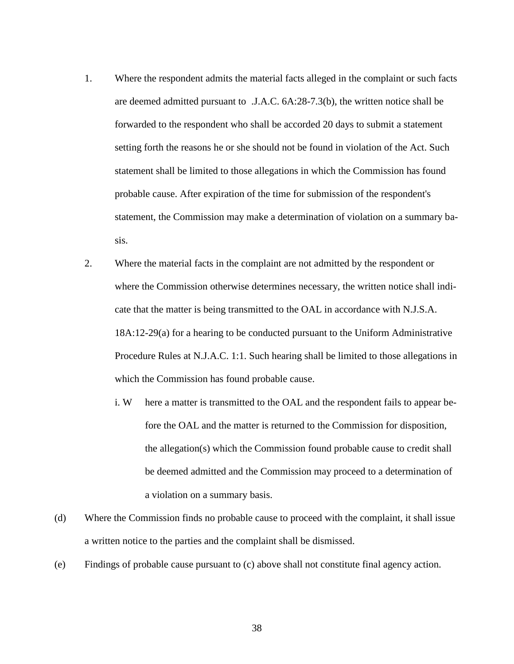- 1. Where the respondent admits the material facts alleged in the complaint or such facts are deemed admitted pursuant to .J.A.C. 6A:28-7.3(b), the written notice shall be forwarded to the respondent who shall be accorded 20 days to submit a statement setting forth the reasons he or she should not be found in violation of the Act. Such statement shall be limited to those allegations in which the Commission has found probable cause. After expiration of the time for submission of the respondent's statement, the Commission may make a determination of violation on a summary basis.
- 2. Where the material facts in the complaint are not admitted by the respondent or where the Commission otherwise determines necessary, the written notice shall indicate that the matter is being transmitted to the OAL in accordance with N.J.S.A. 18A:12-29(a) for a hearing to be conducted pursuant to the Uniform Administrative Procedure Rules at N.J.A.C. 1:1. Such hearing shall be limited to those allegations in which the Commission has found probable cause.
	- i. W here a matter is transmitted to the OAL and the respondent fails to appear before the OAL and the matter is returned to the Commission for disposition, the allegation(s) which the Commission found probable cause to credit shall be deemed admitted and the Commission may proceed to a determination of a violation on a summary basis.
- (d) Where the Commission finds no probable cause to proceed with the complaint, it shall issue a written notice to the parties and the complaint shall be dismissed.
- (e) Findings of probable cause pursuant to (c) above shall not constitute final agency action.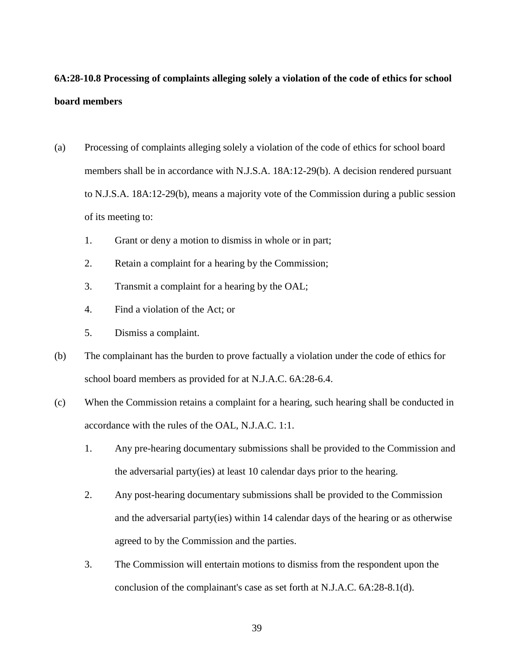# **6A:28-10.8 Processing of complaints alleging solely a violation of the code of ethics for school board members**

- (a) Processing of complaints alleging solely a violation of the code of ethics for school board members shall be in accordance with N.J.S.A. 18A:12-29(b). A decision rendered pursuant to N.J.S.A. 18A:12-29(b), means a majority vote of the Commission during a public session of its meeting to:
	- 1. Grant or deny a motion to dismiss in whole or in part;
	- 2. Retain a complaint for a hearing by the Commission;
	- 3. Transmit a complaint for a hearing by the OAL;
	- 4. Find a violation of the Act; or
	- 5. Dismiss a complaint.
- (b) The complainant has the burden to prove factually a violation under the code of ethics for school board members as provided for at N.J.A.C. 6A:28-6.4.
- (c) When the Commission retains a complaint for a hearing, such hearing shall be conducted in accordance with the rules of the OAL, N.J.A.C. 1:1.
	- 1. Any pre-hearing documentary submissions shall be provided to the Commission and the adversarial party(ies) at least 10 calendar days prior to the hearing.
	- 2. Any post-hearing documentary submissions shall be provided to the Commission and the adversarial party(ies) within 14 calendar days of the hearing or as otherwise agreed to by the Commission and the parties.
	- 3. The Commission will entertain motions to dismiss from the respondent upon the conclusion of the complainant's case as set forth at N.J.A.C. 6A:28-8.1(d).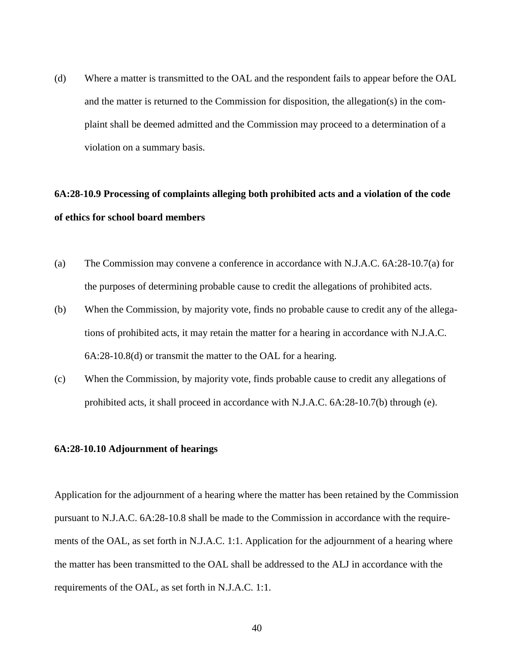(d) Where a matter is transmitted to the OAL and the respondent fails to appear before the OAL and the matter is returned to the Commission for disposition, the allegation(s) in the complaint shall be deemed admitted and the Commission may proceed to a determination of a violation on a summary basis.

# **6A:28-10.9 Processing of complaints alleging both prohibited acts and a violation of the code of ethics for school board members**

- (a) The Commission may convene a conference in accordance with N.J.A.C. 6A:28-10.7(a) for the purposes of determining probable cause to credit the allegations of prohibited acts.
- (b) When the Commission, by majority vote, finds no probable cause to credit any of the allegations of prohibited acts, it may retain the matter for a hearing in accordance with N.J.A.C. 6A:28-10.8(d) or transmit the matter to the OAL for a hearing.
- (c) When the Commission, by majority vote, finds probable cause to credit any allegations of prohibited acts, it shall proceed in accordance with N.J.A.C. 6A:28-10.7(b) through (e).

## **6A:28-10.10 Adjournment of hearings**

Application for the adjournment of a hearing where the matter has been retained by the Commission pursuant to N.J.A.C. 6A:28-10.8 shall be made to the Commission in accordance with the requirements of the OAL, as set forth in N.J.A.C. 1:1. Application for the adjournment of a hearing where the matter has been transmitted to the OAL shall be addressed to the ALJ in accordance with the requirements of the OAL, as set forth in N.J.A.C. 1:1.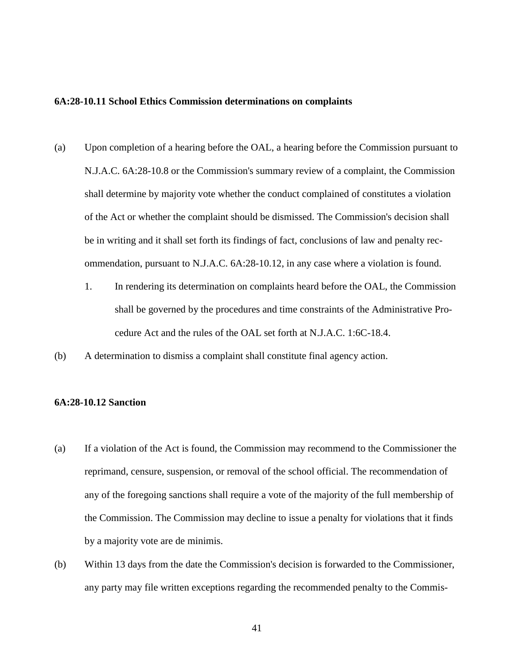### **6A:28-10.11 School Ethics Commission determinations on complaints**

- (a) Upon completion of a hearing before the OAL, a hearing before the Commission pursuant to N.J.A.C. 6A:28-10.8 or the Commission's summary review of a complaint, the Commission shall determine by majority vote whether the conduct complained of constitutes a violation of the Act or whether the complaint should be dismissed. The Commission's decision shall be in writing and it shall set forth its findings of fact, conclusions of law and penalty recommendation, pursuant to N.J.A.C. 6A:28-10.12, in any case where a violation is found.
	- 1. In rendering its determination on complaints heard before the OAL, the Commission shall be governed by the procedures and time constraints of the Administrative Procedure Act and the rules of the OAL set forth at N.J.A.C. 1:6C-18.4.
- (b) A determination to dismiss a complaint shall constitute final agency action.

# **6A:28-10.12 Sanction**

- (a) If a violation of the Act is found, the Commission may recommend to the Commissioner the reprimand, censure, suspension, or removal of the school official. The recommendation of any of the foregoing sanctions shall require a vote of the majority of the full membership of the Commission. The Commission may decline to issue a penalty for violations that it finds by a majority vote are de minimis.
- (b) Within 13 days from the date the Commission's decision is forwarded to the Commissioner, any party may file written exceptions regarding the recommended penalty to the Commis-